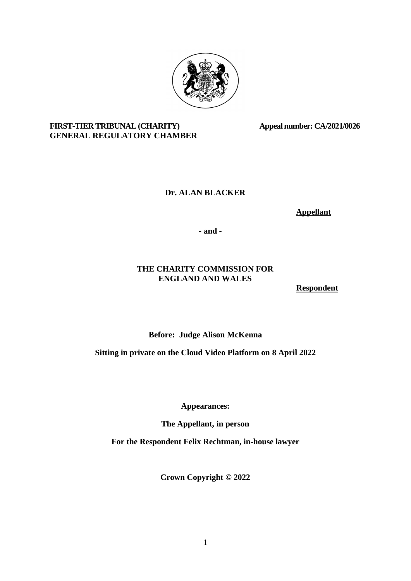

# FIRST-TIER TRIBUNAL (CHARITY) Appeal number: CA/2021/0026 **GENERAL REGULATORY CHAMBER**

# **Dr. ALAN BLACKER**

 **Appellant**

**- and -**

# **THE CHARITY COMMISSION FOR ENGLAND AND WALES**

 **Respondent**

**Before: Judge Alison McKenna**

**Sitting in private on the Cloud Video Platform on 8 April 2022**

**Appearances:**

**The Appellant, in person**

**For the Respondent Felix Rechtman, in-house lawyer**

**Crown Copyright © 2022**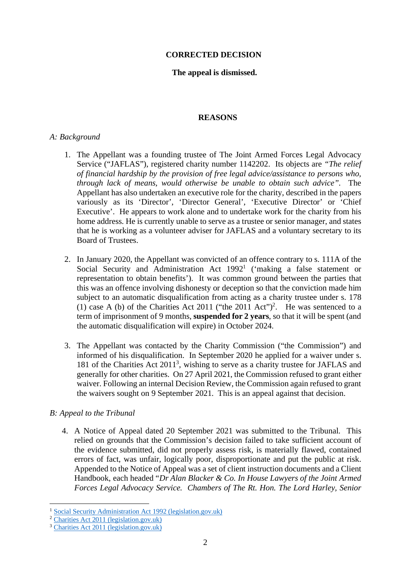### **CORRECTED DECISION**

## **The appeal is dismissed.**

### **REASONS**

#### *A: Background*

- 1. The Appellant was a founding trustee of The Joint Armed Forces Legal Advocacy Service ("JAFLAS"), registered charity number 1142202. Its objects are *"The relief of financial hardship by the provision of free legal advice/assistance to persons who, through lack of means, would otherwise be unable to obtain such advice".* The Appellant has also undertaken an executive role for the charity, described in the papers variously as its 'Director', 'Director General', 'Executive Director' or 'Chief Executive'. He appears to work alone and to undertake work for the charity from his home address. He is currently unable to serve as a trustee or senior manager, and states that he is working as a volunteer adviser for JAFLAS and a voluntary secretary to its Board of Trustees.
- 2. In January 2020, the Appellant was convicted of an offence contrary to s. 111A of the Social Security and Administration Act  $1992<sup>1</sup>$  $1992<sup>1</sup>$  ('making a false statement or representation to obtain benefits'). It was common ground between the parties that this was an offence involving dishonesty or deception so that the conviction made him subject to an automatic disqualification from acting as a charity trustee under s. 178 (1) case A (b) of the Charities Act [2](#page-1-1)011 ("the 2011 Act")<sup>2</sup>. He was sentenced to a term of imprisonment of 9 months, **suspended for 2 years**, so that it will be spent (and the automatic disqualification will expire) in October 2024.
- 3. The Appellant was contacted by the Charity Commission ("the Commission") and informed of his disqualification. In September 2020 he applied for a waiver under s. 181 of the Charities Act 2011<sup>[3](#page-1-2)</sup>, wishing to serve as a charity trustee for JAFLAS and generally for other charities. On 27 April 2021, the Commission refused to grant either waiver. Following an internal Decision Review, the Commission again refused to grant the waivers sought on 9 September 2021. This is an appeal against that decision.

### *B: Appeal to the Tribunal*

4. A Notice of Appeal dated 20 September 2021 was submitted to the Tribunal. This relied on grounds that the Commission's decision failed to take sufficient account of the evidence submitted, did not properly assess risk, is materially flawed, contained errors of fact, was unfair, logically poor, disproportionate and put the public at risk. Appended to the Notice of Appeal was a set of client instruction documents and a Client Handbook, each headed "*Dr Alan Blacker & Co. In House Lawyers of the Joint Armed Forces Legal Advocacy Service. Chambers of The Rt. Hon. The Lord Harley, Senior*

<span id="page-1-0"></span><sup>1</sup> [Social Security Administration Act 1992 \(legislation.gov.uk\)](https://www.legislation.gov.uk/ukpga/1992/5/section/111A)

<span id="page-1-1"></span><sup>2</sup> [Charities Act 2011 \(legislation.gov.uk\)](https://www.legislation.gov.uk/ukpga/2011/25/section/178)

<span id="page-1-2"></span><sup>3</sup> [Charities Act 2011 \(legislation.gov.uk\)](https://www.legislation.gov.uk/ukpga/2011/25/section/181)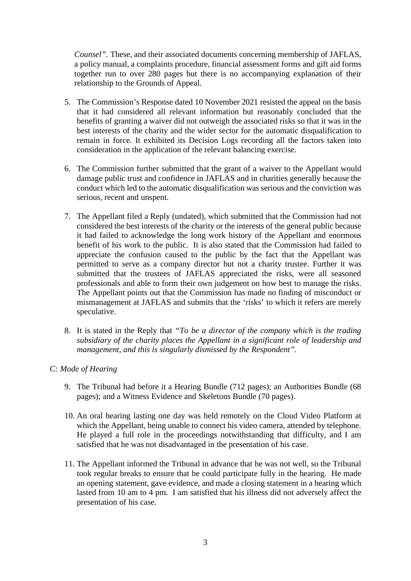*Counsel"*. These, and their associated documents concerning membership of JAFLAS, a policy manual, a complaints procedure, financial assessment forms and gift aid forms together run to over 280 pages but there is no accompanying explanation of their relationship to the Grounds of Appeal.

- 5. The Commission's Response dated 10 November 2021 resisted the appeal on the basis that it had considered all relevant information but reasonably concluded that the benefits of granting a waiver did not outweigh the associated risks so that it was in the best interests of the charity and the wider sector for the automatic disqualification to remain in force. It exhibited its Decision Logs recording all the factors taken into consideration in the application of the relevant balancing exercise.
- 6. The Commission further submitted that the grant of a waiver to the Appellant would damage public trust and confidence in JAFLAS and in charities generally because the conduct which led to the automatic disqualification was serious and the conviction was serious, recent and unspent.
- 7. The Appellant filed a Reply (undated), which submitted that the Commission had not considered the best interests of the charity or the interests of the general public because it had failed to acknowledge the long work history of the Appellant and enormous benefit of his work to the public. It is also stated that the Commission had failed to appreciate the confusion caused to the public by the fact that the Appellant was permitted to serve as a company director but not a charity trustee. Further it was submitted that the trustees of JAFLAS appreciated the risks, were all seasoned professionals and able to form their own judgement on how best to manage the risks. The Appellant points out that the Commission has made no finding of misconduct or mismanagement at JAFLAS and submits that the 'risks' to which it refers are merely speculative.
- 8. It is stated in the Reply that *"To be a director of the company which is the trading subsidiary of the charity places the Appellant in a significant role of leadership and management, and this is singularly dismissed by the Respondent".*

### *C: Mode of Hearing*

- 9. The Tribunal had before it a Hearing Bundle (712 pages); an Authorities Bundle (68 pages); and a Witness Evidence and Skeletons Bundle (70 pages).
- 10. An oral hearing lasting one day was held remotely on the Cloud Video Platform at which the Appellant, being unable to connect his video camera, attended by telephone. He played a full role in the proceedings notwithstanding that difficulty, and I am satisfied that he was not disadvantaged in the presentation of his case.
- 11. The Appellant informed the Tribunal in advance that he was not well, so the Tribunal took regular breaks to ensure that he could participate fully in the hearing. He made an opening statement, gave evidence, and made a closing statement in a hearing which lasted from 10 am to 4 pm. I am satisfied that his illness did not adversely affect the presentation of his case.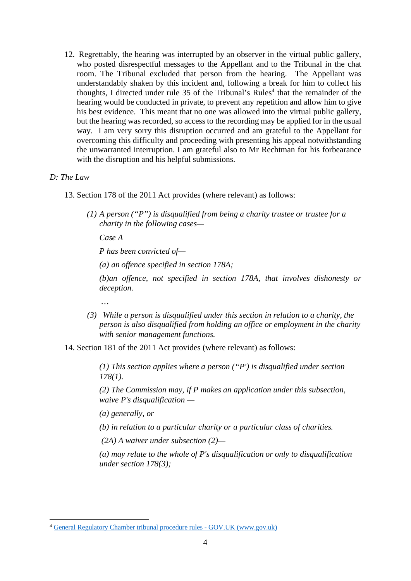12. Regrettably, the hearing was interrupted by an observer in the virtual public gallery, who posted disrespectful messages to the Appellant and to the Tribunal in the chat room. The Tribunal excluded that person from the hearing. The Appellant was understandably shaken by this incident and, following a break for him to collect his thoughts, I directed under rule 35 of the Tribunal's Rules<sup>[4](#page-3-0)</sup> that the remainder of the hearing would be conducted in private, to prevent any repetition and allow him to give his best evidence. This meant that no one was allowed into the virtual public gallery, but the hearing was recorded, so access to the recording may be applied for in the usual way. I am very sorry this disruption occurred and am grateful to the Appellant for overcoming this difficulty and proceeding with presenting his appeal notwithstanding the unwarranted interruption. I am grateful also to Mr Rechtman for his forbearance with the disruption and his helpful submissions.

### *D: The Law*

 *…*

13. Section 178 of the 2011 Act provides (where relevant) as follows:

*(1) A person ("P") is disqualified from being a charity trustee or trustee for a charity in the following cases—*

*Case A*

*P has been convicted of—*

*(a) an offence specified in section 178A;*

*(b)an offence, not specified in section 178A, that involves dishonesty or deception.*

 *(3) While a person is disqualified under this section in relation to a charity, the person is also disqualified from holding an office or employment in the charity with senior management functions.*

14. Section 181 of the 2011 Act provides (where relevant) as follows:

*(1) This section applies where a person ("P') is disqualified under section 178(1).*

*(2) The Commission may, if P makes an application under this subsection, waive P's disqualification —*

*(a) generally, or*

*(b) in relation to a particular charity or a particular class of charities.*

 *(2A) A waiver under subsection (2)—*

*(a) may relate to the whole of P's disqualification or only to disqualification under section 178(3);*

<span id="page-3-0"></span><sup>4</sup> [General Regulatory Chamber tribunal procedure rules - GOV.UK \(www.gov.uk\)](https://www.gov.uk/government/publications/general-regulatory-chamber-tribunal-procedure-rules)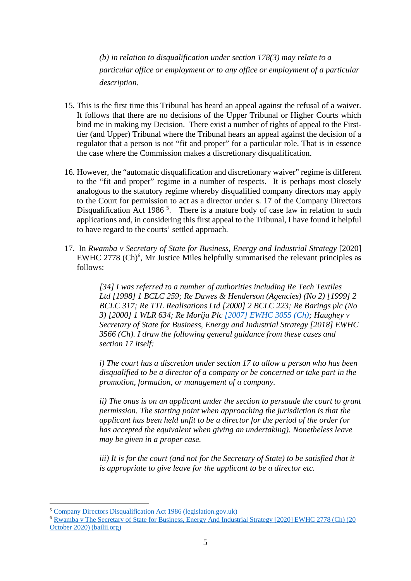*(b) in relation to disqualification under section 178(3) may relate to a particular office or employment or to any office or employment of a particular description.*

- 15. This is the first time this Tribunal has heard an appeal against the refusal of a waiver. It follows that there are no decisions of the Upper Tribunal or Higher Courts which bind me in making my Decision. There exist a number of rights of appeal to the Firsttier (and Upper) Tribunal where the Tribunal hears an appeal against the decision of a regulator that a person is not "fit and proper" for a particular role. That is in essence the case where the Commission makes a discretionary disqualification.
- 16. However, the "automatic disqualification and discretionary waiver" regime is different to the "fit and proper" regime in a number of respects. It is perhaps most closely analogous to the statutory regime whereby disqualified company directors may apply to the Court for permission to act as a director under s. 17 of the Company Directors Disqualification Act 1986<sup>[5](#page-4-0)</sup>. There is a mature body of case law in relation to such applications and, in considering this first appeal to the Tribunal, I have found it helpful to have regard to the courts' settled approach.
- 17. In *Rwamba v Secretary of State for Business, Energy and Industrial Strategy* [2020] EWHC 2778 (Ch)<sup>[6](#page-4-1)</sup>, Mr Justice Miles helpfully summarised the relevant principles as follows:

*[34] I was referred to a number of authorities including Re Tech Textiles Ltd [1998] 1 BCLC 259; Re Dawes & Henderson (Agencies) (No 2) [1999] 2 BCLC 317; Re TTL Realisations Ltd [2000] 2 BCLC 223; Re Barings plc (No 3) [2000] 1 WLR 634; Re Morija Plc [\[2007\] EWHC 3055 \(Ch\);](https://www.bailii.org/ew/cases/EWHC/Ch/2007/3055.html) Haughey v Secretary of State for Business, Energy and Industrial Strategy [2018] EWHC 3566 (Ch). I draw the following general guidance from these cases and section 17 itself:*

*i) The court has a discretion under section 17 to allow a person who has been disqualified to be a director of a company or be concerned or take part in the promotion, formation, or management of a company.*

*ii) The onus is on an applicant under the section to persuade the court to grant permission. The starting point when approaching the jurisdiction is that the applicant has been held unfit to be a director for the period of the order (or has accepted the equivalent when giving an undertaking). Nonetheless leave may be given in a proper case.*

*iii) It is for the court (and not for the Secretary of State) to be satisfied that it is appropriate to give leave for the applicant to be a director etc.*

<span id="page-4-0"></span><sup>5</sup> [Company Directors Disqualification Act 1986 \(legislation.gov.uk\)](https://www.legislation.gov.uk/ukpga/1986/46/section/17)

<span id="page-4-1"></span><sup>6</sup> [Rwamba v The Secretary of State for Business, Energy And Industrial Strategy \[2020\] EWHC 2778 \(Ch\) \(20](https://www.bailii.org/cgi-bin/format.cgi?doc=/ew/cases/EWHC/Ch/2020/2778.html&query=(%22permission+to+act+as+director%22)) October 2020) (bailii.org)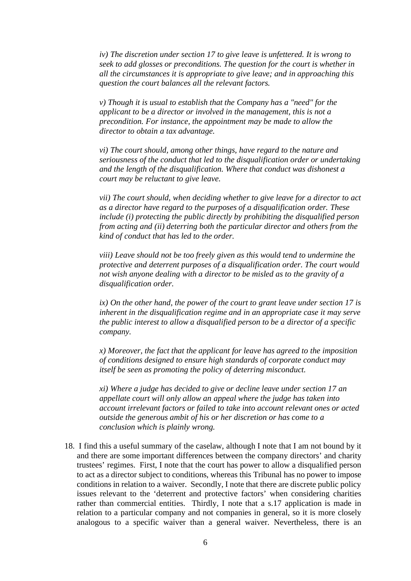*iv) The discretion under section 17 to give leave is unfettered. It is wrong to seek to add glosses or preconditions. The question for the court is whether in all the circumstances it is appropriate to give leave; and in approaching this question the court balances all the relevant factors.*

*v) Though it is usual to establish that the Company has a "need" for the applicant to be a director or involved in the management, this is not a precondition. For instance, the appointment may be made to allow the director to obtain a tax advantage.*

*vi) The court should, among other things, have regard to the nature and seriousness of the conduct that led to the disqualification order or undertaking and the length of the disqualification. Where that conduct was dishonest a court may be reluctant to give leave.*

*vii) The court should, when deciding whether to give leave for a director to act as a director have regard to the purposes of a disqualification order. These include (i) protecting the public directly by prohibiting the disqualified person from acting and (ii) deterring both the particular director and others from the kind of conduct that has led to the order.*

*viii) Leave should not be too freely given as this would tend to undermine the protective and deterrent purposes of a disqualification order. The court would not wish anyone dealing with a director to be misled as to the gravity of a disqualification order.*

*ix) On the other hand, the power of the court to grant leave under section 17 is inherent in the disqualification regime and in an appropriate case it may serve the public interest to allow a disqualified person to be a director of a specific company.*

*x) Moreover, the fact that the applicant for leave has agreed to the imposition of conditions designed to ensure high standards of corporate conduct may itself be seen as promoting the policy of deterring misconduct.*

*xi) Where a judge has decided to give or decline leave under section 17 an appellate court will only allow an appeal where the judge has taken into account irrelevant factors or failed to take into account relevant ones or acted outside the generous ambit of his or her discretion or has come to a conclusion which is plainly wrong.*

18. I find this a useful summary of the caselaw, although I note that I am not bound by it and there are some important differences between the company directors' and charity trustees' regimes. First, I note that the court has power to allow a disqualified person to act as a director subject to conditions, whereas this Tribunal has no power to impose conditions in relation to a waiver. Secondly, I note that there are discrete public policy issues relevant to the 'deterrent and protective factors' when considering charities rather than commercial entities. Thirdly, I note that a s.17 application is made in relation to a particular company and not companies in general, so it is more closely analogous to a specific waiver than a general waiver. Nevertheless, there is an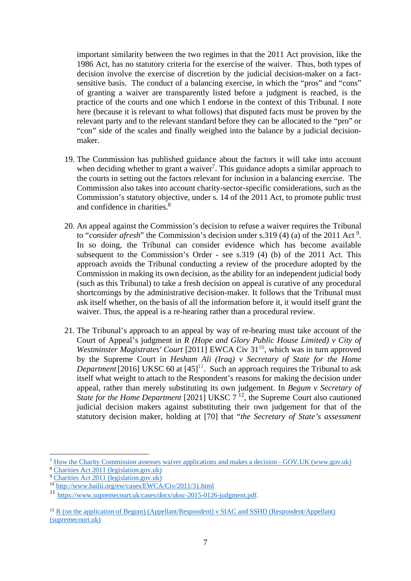important similarity between the two regimes in that the 2011 Act provision, like the 1986 Act, has no statutory criteria for the exercise of the waiver. Thus, both types of decision involve the exercise of discretion by the judicial decision-maker on a factsensitive basis. The conduct of a balancing exercise, in which the "pros" and "cons" of granting a waiver are transparently listed before a judgment is reached, is the practice of the courts and one which I endorse in the context of this Tribunal. I note here (because it is relevant to what follows) that disputed facts must be proven by the relevant party and to the relevant standard before they can be allocated to the "pro" or "con" side of the scales and finally weighed into the balance by a judicial decisionmaker.

- 19. The Commission has published guidance about the factors it will take into account when deciding whether to grant a waiver<sup>[7](#page-6-0)</sup>. This guidance adopts a similar approach to the courts in setting out the factors relevant for inclusion in a balancing exercise. The Commission also takes into account charity-sector-specific considerations, such as the Commission's statutory objective, under s. 14 of the 2011 Act, to promote public trust and confidence in charities.<sup>[8](#page-6-1)</sup>
- 20. An appeal against the Commission's decision to refuse a waiver requires the Tribunal to "*consider afresh*" the Commission's decision under s.31[9](#page-6-2) (4) (a) of the 2011 Act<sup>9</sup>. In so doing, the Tribunal can consider evidence which has become available subsequent to the Commission's Order - see s.319 (4) (b) of the 2011 Act. This approach avoids the Tribunal conducting a review of the procedure adopted by the Commission in making its own decision, as the ability for an independent judicial body (such as this Tribunal) to take a fresh decision on appeal is curative of any procedural shortcomings by the administrative decision-maker. It follows that the Tribunal must ask itself whether, on the basis of all the information before it, it would itself grant the waiver. Thus, the appeal is a re-hearing rather than a procedural review.
- 21. The Tribunal's approach to an appeal by way of re-hearing must take account of the Court of Appeal's judgment in *R (Hope and Glory Public House Limited) v City of Westminster Magistrates' Court* [2011] EWCA Civ 31<sup>[10](#page-6-3)</sup>, which was in turn approved by the Supreme Court in *Hesham Ali (Iraq) v Secretary of State for the Home Department* [2016] UKSC 60 at  $[45]$ <sup>[11](#page-6-4)</sup>. Such an approach requires the Tribunal to ask itself what weight to attach to the Respondent's reasons for making the decision under appeal, rather than merely substituting its own judgement. In *Begum v Secretary of State for the Home Department* [2021] UKSC 7<sup>[12](#page-6-5)</sup>, the Supreme Court also cautioned judicial decision makers against substituting their own judgement for that of the statutory decision maker, holding at [70] that "*the Secretary of State's assessment*

<span id="page-6-0"></span><sup>7</sup> [How the Charity Commission assesses waiver applications and makes a decision - GOV.UK \(www.gov.uk\)](https://www.gov.uk/government/publications/how-the-charity-commission-assesses-waiver-applications-and-makes-a-decision)

<span id="page-6-1"></span><sup>8</sup> [Charities Act 2011 \(legislation.gov.uk\)](https://www.legislation.gov.uk/ukpga/2011/25/section/14) <sup>9</sup> [Charities Act 2011 \(legislation.gov.uk\)](https://www.legislation.gov.uk/ukpga/2011/25/section/319)

<span id="page-6-3"></span><span id="page-6-2"></span><sup>&</sup>lt;sup>10</sup> <http://www.bailii.org/ew/cases/EWCA/Civ/2011/31.html>

<span id="page-6-4"></span><sup>11</sup> [https://www.supremecourt.uk/cases/docs/uksc-2015-0126-judgment.pdf.](https://www.supremecourt.uk/cases/docs/uksc-2015-0126-judgment.pdf)

<span id="page-6-5"></span> $12$  [R \(on the application of Begum\) \(Appellant/Respondent\) v SIAC and SSHD \(Respondent/Appellant\)](https://www.supremecourt.uk/cases/docs/uksc-2020-0156-judgment.pdf) (supremecourt.uk)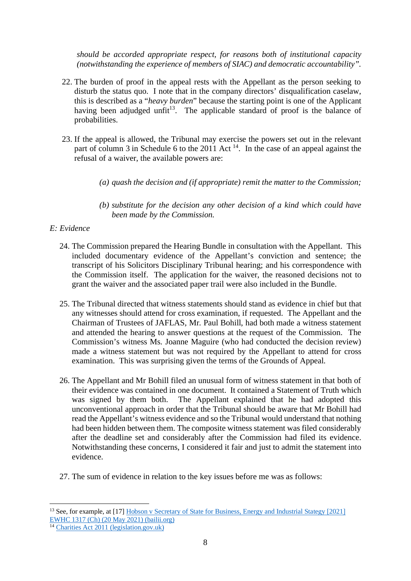*should be accorded appropriate respect, for reasons both of institutional capacity (notwithstanding the experience of members of SIAC) and democratic accountability".*

- 22. The burden of proof in the appeal rests with the Appellant as the person seeking to disturb the status quo. I note that in the company directors' disqualification caselaw, this is described as a "*heavy burden*" because the starting point is one of the Applicant having been adjudged unfit<sup>[13](#page-7-0)</sup>. The applicable standard of proof is the balance of probabilities.
- 23. If the appeal is allowed, the Tribunal may exercise the powers set out in the relevant part of column 3 in Schedule 6 to the 2011 Act  $^{14}$  $^{14}$  $^{14}$ . In the case of an appeal against the refusal of a waiver, the available powers are:
	- *(a) quash the decision and (if appropriate) remit the matter to the Commission;*
	- *(b) substitute for the decision any other decision of a kind which could have been made by the Commission.*

# *E: Evidence*

- 24. The Commission prepared the Hearing Bundle in consultation with the Appellant. This included documentary evidence of the Appellant's conviction and sentence; the transcript of his Solicitors Disciplinary Tribunal hearing; and his correspondence with the Commission itself. The application for the waiver, the reasoned decisions not to grant the waiver and the associated paper trail were also included in the Bundle.
- 25. The Tribunal directed that witness statements should stand as evidence in chief but that any witnesses should attend for cross examination, if requested. The Appellant and the Chairman of Trustees of JAFLAS, Mr. Paul Bohill, had both made a witness statement and attended the hearing to answer questions at the request of the Commission. The Commission's witness Ms. Joanne Maguire (who had conducted the decision review) made a witness statement but was not required by the Appellant to attend for cross examination. This was surprising given the terms of the Grounds of Appeal.
- 26. The Appellant and Mr Bohill filed an unusual form of witness statement in that both of their evidence was contained in one document. It contained a Statement of Truth which was signed by them both. The Appellant explained that he had adopted this unconventional approach in order that the Tribunal should be aware that Mr Bohill had read the Appellant's witness evidence and so the Tribunal would understand that nothing had been hidden between them. The composite witness statement was filed considerably after the deadline set and considerably after the Commission had filed its evidence. Notwithstanding these concerns, I considered it fair and just to admit the statement into evidence.
- 27. The sum of evidence in relation to the key issues before me was as follows:

<span id="page-7-0"></span><sup>&</sup>lt;sup>13</sup> See, for example, at [17] [Hobson v Secretary of State for Business, Energy and Industrial Stategy \[2021\]](https://www.bailii.org/cgi-bin/format.cgi?doc=/ew/cases/EWHC/Ch/2021/1317.html&query=(%22permission+to+act+as+director%22)) EWHC 1317 (Ch) (20 May 2021) (bailii.org)

<span id="page-7-1"></span><sup>&</sup>lt;sup>14</sup> [Charities Act 2011 \(legislation.gov.uk\)](https://www.legislation.gov.uk/ukpga/2011/25/schedule/6)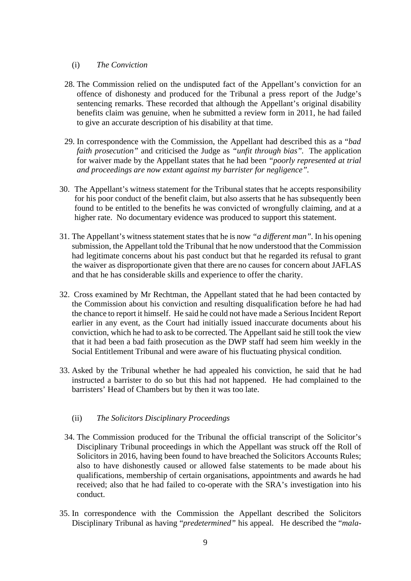### (i) *The Conviction*

- 28. The Commission relied on the undisputed fact of the Appellant's conviction for an offence of dishonesty and produced for the Tribunal a press report of the Judge's sentencing remarks. These recorded that although the Appellant's original disability benefits claim was genuine, when he submitted a review form in 2011, he had failed to give an accurate description of his disability at that time.
- 29. In correspondence with the Commission, the Appellant had described this as a "*bad faith prosecution"* and criticised the Judge as *"unfit through bias".* The application for waiver made by the Appellant states that he had been *"poorly represented at trial and proceedings are now extant against my barrister for negligence".*
- 30. The Appellant's witness statement for the Tribunal states that he accepts responsibility for his poor conduct of the benefit claim, but also asserts that he has subsequently been found to be entitled to the benefits he was convicted of wrongfully claiming, and at a higher rate. No documentary evidence was produced to support this statement.
- 31. The Appellant's witness statement states that he is now *"a different man".* In his opening submission, the Appellant told the Tribunal that he now understood that the Commission had legitimate concerns about his past conduct but that he regarded its refusal to grant the waiver as disproportionate given that there are no causes for concern about JAFLAS and that he has considerable skills and experience to offer the charity.
- 32. Cross examined by Mr Rechtman, the Appellant stated that he had been contacted by the Commission about his conviction and resulting disqualification before he had had the chance to report it himself. He said he could not have made a Serious Incident Report earlier in any event, as the Court had initially issued inaccurate documents about his conviction, which he had to ask to be corrected. The Appellant said he still took the view that it had been a bad faith prosecution as the DWP staff had seem him weekly in the Social Entitlement Tribunal and were aware of his fluctuating physical condition.
- 33. Asked by the Tribunal whether he had appealed his conviction, he said that he had instructed a barrister to do so but this had not happened. He had complained to the barristers' Head of Chambers but by then it was too late.

# (ii) *The Solicitors Disciplinary Proceedings*

- 34. The Commission produced for the Tribunal the official transcript of the Solicitor's Disciplinary Tribunal proceedings in which the Appellant was struck off the Roll of Solicitors in 2016, having been found to have breached the Solicitors Accounts Rules; also to have dishonestly caused or allowed false statements to be made about his qualifications, membership of certain organisations, appointments and awards he had received; also that he had failed to co-operate with the SRA's investigation into his conduct.
- 35. In correspondence with the Commission the Appellant described the Solicitors Disciplinary Tribunal as having "*predetermined"* his appeal. He described the "*mala-*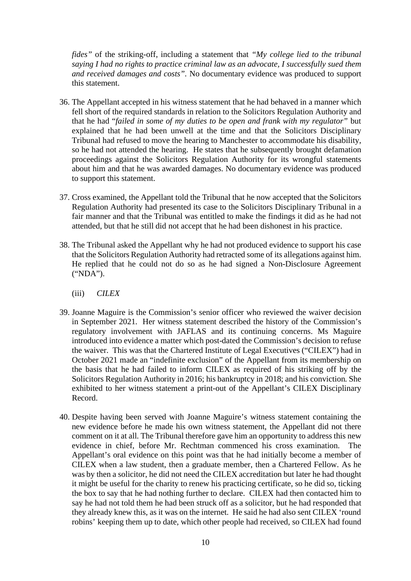*fides"* of the striking-off, including a statement that *"My college lied to the tribunal saying I had no rights to practice criminal law as an advocate, I successfully sued them and received damages and costs".* No documentary evidence was produced to support this statement.

- 36. The Appellant accepted in his witness statement that he had behaved in a manner which fell short of the required standards in relation to the Solicitors Regulation Authority and that he had "*failed in some of my duties to be open and frank with my regulator"* but explained that he had been unwell at the time and that the Solicitors Disciplinary Tribunal had refused to move the hearing to Manchester to accommodate his disability, so he had not attended the hearing. He states that he subsequently brought defamation proceedings against the Solicitors Regulation Authority for its wrongful statements about him and that he was awarded damages. No documentary evidence was produced to support this statement.
- 37. Cross examined, the Appellant told the Tribunal that he now accepted that the Solicitors Regulation Authority had presented its case to the Solicitors Disciplinary Tribunal in a fair manner and that the Tribunal was entitled to make the findings it did as he had not attended, but that he still did not accept that he had been dishonest in his practice.
- 38. The Tribunal asked the Appellant why he had not produced evidence to support his case that the Solicitors Regulation Authority had retracted some of its allegations against him. He replied that he could not do so as he had signed a Non-Disclosure Agreement ("NDA").
	- (iii) *CILEX*
- 39. Joanne Maguire is the Commission's senior officer who reviewed the waiver decision in September 2021. Her witness statement described the history of the Commission's regulatory involvement with JAFLAS and its continuing concerns. Ms Maguire introduced into evidence a matter which post-dated the Commission's decision to refuse the waiver. This was that the Chartered Institute of Legal Executives ("CILEX") had in October 2021 made an "indefinite exclusion" of the Appellant from its membership on the basis that he had failed to inform CILEX as required of his striking off by the Solicitors Regulation Authority in 2016; his bankruptcy in 2018; and his conviction. She exhibited to her witness statement a print-out of the Appellant's CILEX Disciplinary Record.
- 40. Despite having been served with Joanne Maguire's witness statement containing the new evidence before he made his own witness statement, the Appellant did not there comment on it at all. The Tribunal therefore gave him an opportunity to address this new evidence in chief, before Mr. Rechtman commenced his cross examination. The Appellant's oral evidence on this point was that he had initially become a member of CILEX when a law student, then a graduate member, then a Chartered Fellow. As he was by then a solicitor, he did not need the CILEX accreditation but later he had thought it might be useful for the charity to renew his practicing certificate, so he did so, ticking the box to say that he had nothing further to declare. CILEX had then contacted him to say he had not told them he had been struck off as a solicitor, but he had responded that they already knew this, as it was on the internet. He said he had also sent CILEX 'round robins' keeping them up to date, which other people had received, so CILEX had found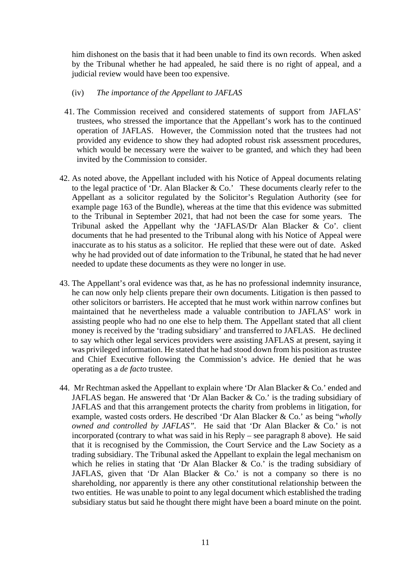him dishonest on the basis that it had been unable to find its own records. When asked by the Tribunal whether he had appealed, he said there is no right of appeal, and a judicial review would have been too expensive.

### (iv) *The importance of the Appellant to JAFLAS*

- 41. The Commission received and considered statements of support from JAFLAS' trustees, who stressed the importance that the Appellant's work has to the continued operation of JAFLAS. However, the Commission noted that the trustees had not provided any evidence to show they had adopted robust risk assessment procedures, which would be necessary were the waiver to be granted, and which they had been invited by the Commission to consider.
- 42. As noted above, the Appellant included with his Notice of Appeal documents relating to the legal practice of 'Dr. Alan Blacker & Co.' These documents clearly refer to the Appellant as a solicitor regulated by the Solicitor's Regulation Authority (see for example page 163 of the Bundle), whereas at the time that this evidence was submitted to the Tribunal in September 2021, that had not been the case for some years. The Tribunal asked the Appellant why the 'JAFLAS/Dr Alan Blacker & Co'. client documents that he had presented to the Tribunal along with his Notice of Appeal were inaccurate as to his status as a solicitor. He replied that these were out of date. Asked why he had provided out of date information to the Tribunal, he stated that he had never needed to update these documents as they were no longer in use.
- 43. The Appellant's oral evidence was that, as he has no professional indemnity insurance, he can now only help clients prepare their own documents. Litigation is then passed to other solicitors or barristers. He accepted that he must work within narrow confines but maintained that he nevertheless made a valuable contribution to JAFLAS' work in assisting people who had no one else to help them. The Appellant stated that all client money is received by the 'trading subsidiary' and transferred to JAFLAS. He declined to say which other legal services providers were assisting JAFLAS at present, saying it was privileged information. He stated that he had stood down from his position as trustee and Chief Executive following the Commission's advice. He denied that he was operating as a *de facto* trustee.
- 44. Mr Rechtman asked the Appellant to explain where 'Dr Alan Blacker & Co.' ended and JAFLAS began. He answered that 'Dr Alan Backer & Co.' is the trading subsidiary of JAFLAS and that this arrangement protects the charity from problems in litigation, for example, wasted costs orders. He described 'Dr Alan Blacker & Co.' as being "*wholly owned and controlled by JAFLAS".* He said that 'Dr Alan Blacker & Co.' is not incorporated (contrary to what was said in his Reply – see paragraph 8 above). He said that it is recognised by the Commission, the Court Service and the Law Society as a trading subsidiary. The Tribunal asked the Appellant to explain the legal mechanism on which he relies in stating that 'Dr Alan Blacker & Co.' is the trading subsidiary of JAFLAS, given that 'Dr Alan Blacker  $\&$  Co.' is not a company so there is no shareholding, nor apparently is there any other constitutional relationship between the two entities. He was unable to point to any legal document which established the trading subsidiary status but said he thought there might have been a board minute on the point.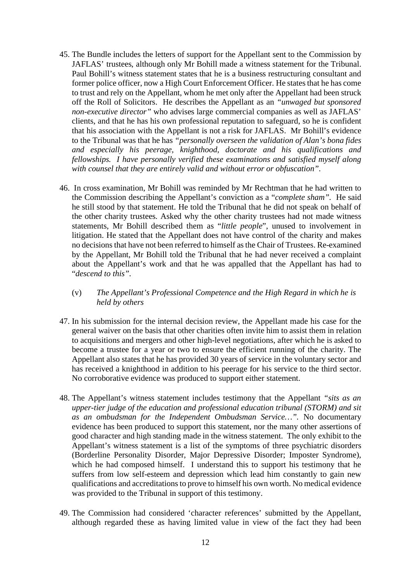- 45. The Bundle includes the letters of support for the Appellant sent to the Commission by JAFLAS' trustees, although only Mr Bohill made a witness statement for the Tribunal. Paul Bohill's witness statement states that he is a business restructuring consultant and former police officer, now a High Court Enforcement Officer. He states that he has come to trust and rely on the Appellant, whom he met only after the Appellant had been struck off the Roll of Solicitors. He describes the Appellant as an *"unwaged but sponsored non-executive director"* who advises large commercial companies as well as JAFLAS' clients, and that he has his own professional reputation to safeguard, so he is confident that his association with the Appellant is not a risk for JAFLAS. Mr Bohill's evidence to the Tribunal was that he has *"personally overseen the validation of Alan's bona fides and especially his peerage, knighthood, doctorate and his qualifications and fellowships. I have personally verified these examinations and satisfied myself along with counsel that they are entirely valid and without error or obfuscation".*
- 46. In cross examination, Mr Bohill was reminded by Mr Rechtman that he had written to the Commission describing the Appellant's conviction as a "*complete sham".* He said he still stood by that statement. He told the Tribunal that he did not speak on behalf of the other charity trustees. Asked why the other charity trustees had not made witness statements, Mr Bohill described them as "*little people*", unused to involvement in litigation. He stated that the Appellant does not have control of the charity and makes no decisions that have not been referred to himself as the Chair of Trustees. Re-examined by the Appellant, Mr Bohill told the Tribunal that he had never received a complaint about the Appellant's work and that he was appalled that the Appellant has had to "*descend to this".*
	- (v) *The Appellant's Professional Competence and the High Regard in which he is held by others*
- 47. In his submission for the internal decision review, the Appellant made his case for the general waiver on the basis that other charities often invite him to assist them in relation to acquisitions and mergers and other high-level negotiations, after which he is asked to become a trustee for a year or two to ensure the efficient running of the charity. The Appellant also states that he has provided 30 years of service in the voluntary sector and has received a knighthood in addition to his peerage for his service to the third sector. No corroborative evidence was produced to support either statement.
- 48. The Appellant's witness statement includes testimony that the Appellant *"sits as an upper-tier judge of the education and professional education tribunal (STORM) and sit as an ombudsman for the Independent Ombudsman Service…".* No documentary evidence has been produced to support this statement, nor the many other assertions of good character and high standing made in the witness statement. The only exhibit to the Appellant's witness statement is a list of the symptoms of three psychiatric disorders (Borderline Personality Disorder, Major Depressive Disorder; Imposter Syndrome), which he had composed himself. I understand this to support his testimony that he suffers from low self-esteem and depression which lead him constantly to gain new qualifications and accreditations to prove to himself his own worth. No medical evidence was provided to the Tribunal in support of this testimony.
- 49. The Commission had considered 'character references' submitted by the Appellant, although regarded these as having limited value in view of the fact they had been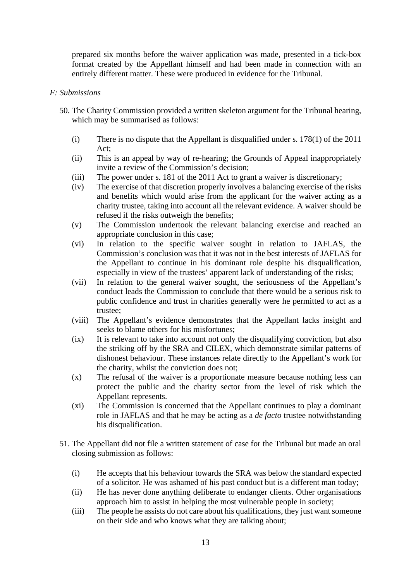prepared six months before the waiver application was made, presented in a tick-box format created by the Appellant himself and had been made in connection with an entirely different matter. These were produced in evidence for the Tribunal.

### *F: Submissions*

- 50. The Charity Commission provided a written skeleton argument for the Tribunal hearing, which may be summarised as follows:
	- (i) There is no dispute that the Appellant is disqualified under s. 178(1) of the 2011 Act;
	- (ii) This is an appeal by way of re-hearing; the Grounds of Appeal inappropriately invite a review of the Commission's decision;
	- (iii) The power under s. 181 of the 2011 Act to grant a waiver is discretionary;
	- (iv) The exercise of that discretion properly involves a balancing exercise of the risks and benefits which would arise from the applicant for the waiver acting as a charity trustee, taking into account all the relevant evidence. A waiver should be refused if the risks outweigh the benefits;
	- (v) The Commission undertook the relevant balancing exercise and reached an appropriate conclusion in this case;
	- (vi) In relation to the specific waiver sought in relation to JAFLAS, the Commission's conclusion was that it was not in the best interests of JAFLAS for the Appellant to continue in his dominant role despite his disqualification, especially in view of the trustees' apparent lack of understanding of the risks;
	- (vii) In relation to the general waiver sought, the seriousness of the Appellant's conduct leads the Commission to conclude that there would be a serious risk to public confidence and trust in charities generally were he permitted to act as a trustee;
	- (viii) The Appellant's evidence demonstrates that the Appellant lacks insight and seeks to blame others for his misfortunes;
	- (ix) It is relevant to take into account not only the disqualifying conviction, but also the striking off by the SRA and CILEX, which demonstrate similar patterns of dishonest behaviour. These instances relate directly to the Appellant's work for the charity, whilst the conviction does not;
	- (x) The refusal of the waiver is a proportionate measure because nothing less can protect the public and the charity sector from the level of risk which the Appellant represents.
	- (xi) The Commission is concerned that the Appellant continues to play a dominant role in JAFLAS and that he may be acting as a *de facto* trustee notwithstanding his disqualification.
- 51. The Appellant did not file a written statement of case for the Tribunal but made an oral closing submission as follows:
	- (i) He accepts that his behaviour towards the SRA was below the standard expected of a solicitor. He was ashamed of his past conduct but is a different man today;
	- (ii) He has never done anything deliberate to endanger clients. Other organisations approach him to assist in helping the most vulnerable people in society;
	- (iii) The people he assists do not care about his qualifications, they just want someone on their side and who knows what they are talking about;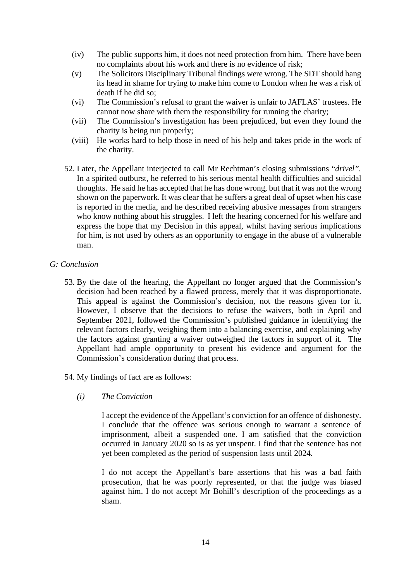- (iv) The public supports him, it does not need protection from him. There have been no complaints about his work and there is no evidence of risk;
- (v) The Solicitors Disciplinary Tribunal findings were wrong. The SDT should hang its head in shame for trying to make him come to London when he was a risk of death if he did so;
- (vi) The Commission's refusal to grant the waiver is unfair to JAFLAS' trustees. He cannot now share with them the responsibility for running the charity;
- (vii) The Commission's investigation has been prejudiced, but even they found the charity is being run properly;
- (viii) He works hard to help those in need of his help and takes pride in the work of the charity.
- 52. Later, the Appellant interjected to call Mr Rechtman's closing submissions "*drivel".* In a spirited outburst, he referred to his serious mental health difficulties and suicidal thoughts. He said he has accepted that he has done wrong, but that it was not the wrong shown on the paperwork. It was clear that he suffers a great deal of upset when his case is reported in the media, and he described receiving abusive messages from strangers who know nothing about his struggles. I left the hearing concerned for his welfare and express the hope that my Decision in this appeal, whilst having serious implications for him, is not used by others as an opportunity to engage in the abuse of a vulnerable man.

## *G: Conclusion*

- 53. By the date of the hearing, the Appellant no longer argued that the Commission's decision had been reached by a flawed process, merely that it was disproportionate. This appeal is against the Commission's decision, not the reasons given for it. However, I observe that the decisions to refuse the waivers, both in April and September 2021, followed the Commission's published guidance in identifying the relevant factors clearly, weighing them into a balancing exercise, and explaining why the factors against granting a waiver outweighed the factors in support of it. The Appellant had ample opportunity to present his evidence and argument for the Commission's consideration during that process.
- 54. My findings of fact are as follows:
	- *(i) The Conviction*

I accept the evidence of the Appellant's conviction for an offence of dishonesty. I conclude that the offence was serious enough to warrant a sentence of imprisonment, albeit a suspended one. I am satisfied that the conviction occurred in January 2020 so is as yet unspent. I find that the sentence has not yet been completed as the period of suspension lasts until 2024.

I do not accept the Appellant's bare assertions that his was a bad faith prosecution, that he was poorly represented, or that the judge was biased against him. I do not accept Mr Bohill's description of the proceedings as a sham.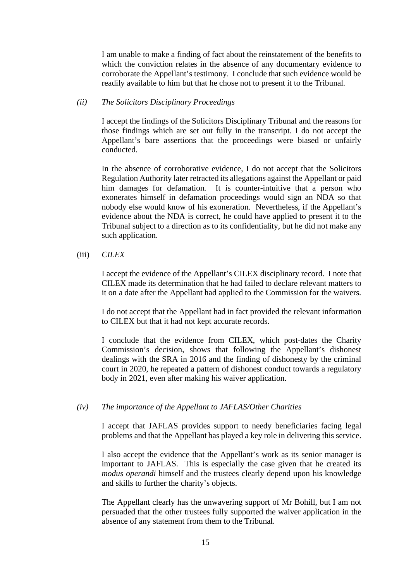I am unable to make a finding of fact about the reinstatement of the benefits to which the conviction relates in the absence of any documentary evidence to corroborate the Appellant's testimony. I conclude that such evidence would be readily available to him but that he chose not to present it to the Tribunal.

#### *(ii) The Solicitors Disciplinary Proceedings*

I accept the findings of the Solicitors Disciplinary Tribunal and the reasons for those findings which are set out fully in the transcript. I do not accept the Appellant's bare assertions that the proceedings were biased or unfairly conducted.

In the absence of corroborative evidence, I do not accept that the Solicitors Regulation Authority later retracted its allegations against the Appellant or paid him damages for defamation. It is counter-intuitive that a person who exonerates himself in defamation proceedings would sign an NDA so that nobody else would know of his exoneration. Nevertheless, if the Appellant's evidence about the NDA is correct, he could have applied to present it to the Tribunal subject to a direction as to its confidentiality, but he did not make any such application.

### (iii) *CILEX*

I accept the evidence of the Appellant's CILEX disciplinary record. I note that CILEX made its determination that he had failed to declare relevant matters to it on a date after the Appellant had applied to the Commission for the waivers.

I do not accept that the Appellant had in fact provided the relevant information to CILEX but that it had not kept accurate records.

I conclude that the evidence from CILEX, which post-dates the Charity Commission's decision, shows that following the Appellant's dishonest dealings with the SRA in 2016 and the finding of dishonesty by the criminal court in 2020, he repeated a pattern of dishonest conduct towards a regulatory body in 2021, even after making his waiver application.

### *(iv) The importance of the Appellant to JAFLAS/Other Charities*

I accept that JAFLAS provides support to needy beneficiaries facing legal problems and that the Appellant has played a key role in delivering this service.

I also accept the evidence that the Appellant's work as its senior manager is important to JAFLAS. This is especially the case given that he created its *modus operandi* himself and the trustees clearly depend upon his knowledge and skills to further the charity's objects.

The Appellant clearly has the unwavering support of Mr Bohill, but I am not persuaded that the other trustees fully supported the waiver application in the absence of any statement from them to the Tribunal.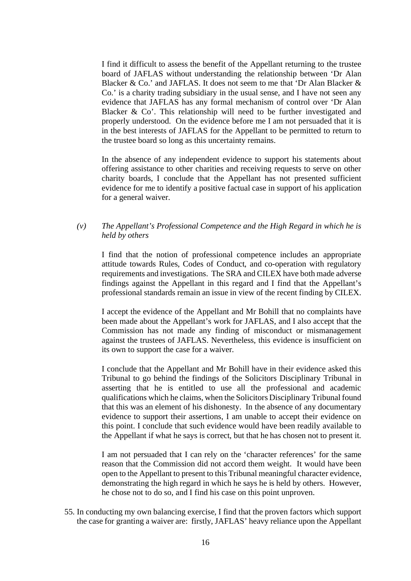I find it difficult to assess the benefit of the Appellant returning to the trustee board of JAFLAS without understanding the relationship between 'Dr Alan Blacker & Co.' and JAFLAS. It does not seem to me that 'Dr Alan Blacker & Co.' is a charity trading subsidiary in the usual sense, and I have not seen any evidence that JAFLAS has any formal mechanism of control over 'Dr Alan Blacker & Co'. This relationship will need to be further investigated and properly understood. On the evidence before me I am not persuaded that it is in the best interests of JAFLAS for the Appellant to be permitted to return to the trustee board so long as this uncertainty remains.

In the absence of any independent evidence to support his statements about offering assistance to other charities and receiving requests to serve on other charity boards, I conclude that the Appellant has not presented sufficient evidence for me to identify a positive factual case in support of his application for a general waiver.

### *(v) The Appellant's Professional Competence and the High Regard in which he is held by others*

I find that the notion of professional competence includes an appropriate attitude towards Rules, Codes of Conduct, and co-operation with regulatory requirements and investigations. The SRA and CILEX have both made adverse findings against the Appellant in this regard and I find that the Appellant's professional standards remain an issue in view of the recent finding by CILEX.

I accept the evidence of the Appellant and Mr Bohill that no complaints have been made about the Appellant's work for JAFLAS, and I also accept that the Commission has not made any finding of misconduct or mismanagement against the trustees of JAFLAS. Nevertheless, this evidence is insufficient on its own to support the case for a waiver.

I conclude that the Appellant and Mr Bohill have in their evidence asked this Tribunal to go behind the findings of the Solicitors Disciplinary Tribunal in asserting that he is entitled to use all the professional and academic qualifications which he claims, when the Solicitors Disciplinary Tribunal found that this was an element of his dishonesty. In the absence of any documentary evidence to support their assertions, I am unable to accept their evidence on this point. I conclude that such evidence would have been readily available to the Appellant if what he says is correct, but that he has chosen not to present it.

I am not persuaded that I can rely on the 'character references' for the same reason that the Commission did not accord them weight. It would have been open to the Appellant to present to this Tribunal meaningful character evidence, demonstrating the high regard in which he says he is held by others. However, he chose not to do so, and I find his case on this point unproven.

55. In conducting my own balancing exercise, I find that the proven factors which support the case for granting a waiver are: firstly, JAFLAS' heavy reliance upon the Appellant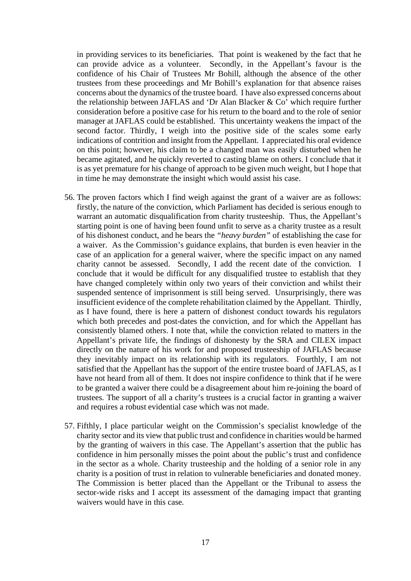in providing services to its beneficiaries. That point is weakened by the fact that he can provide advice as a volunteer. Secondly, in the Appellant's favour is the confidence of his Chair of Trustees Mr Bohill, although the absence of the other trustees from these proceedings and Mr Bohill's explanation for that absence raises concerns about the dynamics of the trustee board. I have also expressed concerns about the relationship between JAFLAS and 'Dr Alan Blacker  $\&$  Co' which require further consideration before a positive case for his return to the board and to the role of senior manager at JAFLAS could be established. This uncertainty weakens the impact of the second factor. Thirdly, I weigh into the positive side of the scales some early indications of contrition and insight from the Appellant. I appreciated his oral evidence on this point; however, his claim to be a changed man was easily disturbed when he became agitated, and he quickly reverted to casting blame on others. I conclude that it is as yet premature for his change of approach to be given much weight, but I hope that in time he may demonstrate the insight which would assist his case.

- 56. The proven factors which I find weigh against the grant of a waiver are as follows: firstly, the nature of the conviction, which Parliament has decided is serious enough to warrant an automatic disqualification from charity trusteeship. Thus, the Appellant's starting point is one of having been found unfit to serve as a charity trustee as a result of his dishonest conduct, and he bears the *"heavy burden"* of establishing the case for a waiver. As the Commission's guidance explains, that burden is even heavier in the case of an application for a general waiver, where the specific impact on any named charity cannot be assessed. Secondly, I add the recent date of the conviction. I conclude that it would be difficult for any disqualified trustee to establish that they have changed completely within only two years of their conviction and whilst their suspended sentence of imprisonment is still being served. Unsurprisingly, there was insufficient evidence of the complete rehabilitation claimed by the Appellant. Thirdly, as I have found, there is here a pattern of dishonest conduct towards his regulators which both precedes and post-dates the conviction, and for which the Appellant has consistently blamed others. I note that, while the conviction related to matters in the Appellant's private life, the findings of dishonesty by the SRA and CILEX impact directly on the nature of his work for and proposed trusteeship of JAFLAS because they inevitably impact on its relationship with its regulators. Fourthly, I am not satisfied that the Appellant has the support of the entire trustee board of JAFLAS, as I have not heard from all of them. It does not inspire confidence to think that if he were to be granted a waiver there could be a disagreement about him re-joining the board of trustees. The support of all a charity's trustees is a crucial factor in granting a waiver and requires a robust evidential case which was not made.
- 57. Fifthly, I place particular weight on the Commission's specialist knowledge of the charity sector and its view that public trust and confidence in charities would be harmed by the granting of waivers in this case. The Appellant's assertion that the public has confidence in him personally misses the point about the public's trust and confidence in the sector as a whole. Charity trusteeship and the holding of a senior role in any charity is a position of trust in relation to vulnerable beneficiaries and donated money. The Commission is better placed than the Appellant or the Tribunal to assess the sector-wide risks and I accept its assessment of the damaging impact that granting waivers would have in this case.